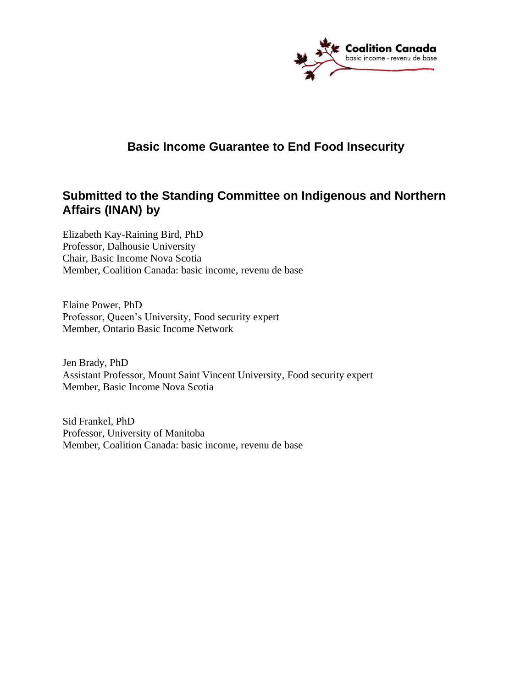

# **Basic Income Guarantee to End Food Insecurity**

# **Submitted to the Standing Committee on Indigenous and Northern Affairs (INAN) by**

Elizabeth Kay-Raining Bird, PhD Professor, Dalhousie University Chair, Basic Income Nova Scotia Member, Coalition Canada: basic income, revenu de base

Elaine Power, PhD Professor, Queen's University, Food security expert Member, Ontario Basic Income Network

Jen Brady, PhD Assistant Professor, Mount Saint Vincent University, Food security expert Member, Basic Income Nova Scotia

Sid Frankel, PhD Professor, University of Manitoba Member, Coalition Canada: basic income, revenu de base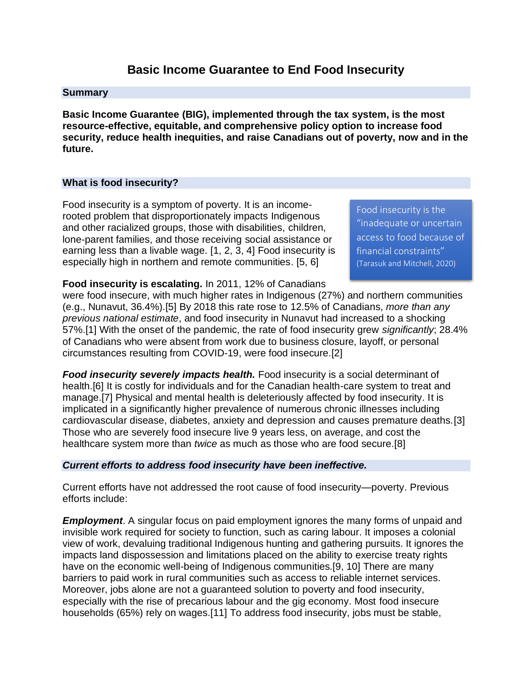## **Basic Income Guarantee to End Food Insecurity**

#### **Summary**

**Basic Income Guarantee (BIG), implemented through the tax system, is the most resource-effective, equitable, and comprehensive policy option to increase food security, reduce health inequities, and raise Canadians out of poverty, now and in the future.** 

### **What is food insecurity?**

Food insecurity is a symptom of poverty. It is an incomerooted problem that disproportionately impacts Indigenous and other racialized groups, those with disabilities, children, lone-parent families, and those receiving social assistance or earning less than a livable wage. [1, 2, 3, 4] Food insecurity is especially high in northern and remote communities. [5, 6]

Food insecurity is the "inadequate or uncertain access to food because of financial constraints" (Tarasuk and Mitchell, 2020)

**Food insecurity is escalating.** In 2011, 12% of Canadians

were food insecure, with much higher rates in Indigenous (27%) and northern communities (e.g., Nunavut, 36.4%).[5] By 2018 this rate rose to 12.5% of Canadians, *more than any previous national estimate*, and food insecurity in Nunavut had increased to a shocking 57%.[1] With the onset of the pandemic, the rate of food insecurity grew *significantly*; 28.4% of Canadians who were absent from work due to business closure, layoff, or personal circumstances resulting from COVID-19, were food insecure.[2]

*Food insecurity severely impacts health.* Food insecurity is a social determinant of health.[6] It is costly for individuals and for the Canadian health-care system to treat and manage.[7] Physical and mental health is deleteriously affected by food insecurity. It is implicated in a significantly higher prevalence of numerous chronic illnesses including cardiovascular disease, diabetes, anxiety and depression and causes premature deaths.[3] Those who are severely food insecure live 9 years less, on average, and cost the healthcare system more than *twice* as much as those who are food secure.[8]

#### *Current efforts to address food insecurity have been ineffective.*

Current efforts have not addressed the root cause of food insecurity—poverty. Previous efforts include:

*Employment*. A singular focus on paid employment ignores the many forms of unpaid and invisible work required for society to function, such as caring labour. It imposes a colonial view of work, devaluing traditional Indigenous hunting and gathering pursuits. It ignores the impacts land dispossession and limitations placed on the ability to exercise treaty rights have on the economic well-being of Indigenous communities.[9, 10] There are many barriers to paid work in rural communities such as access to reliable internet services. Moreover, jobs alone are not a guaranteed solution to poverty and food insecurity, especially with the rise of precarious labour and the gig economy. Most food insecure households (65%) rely on wages.[11] To address food insecurity, jobs must be stable,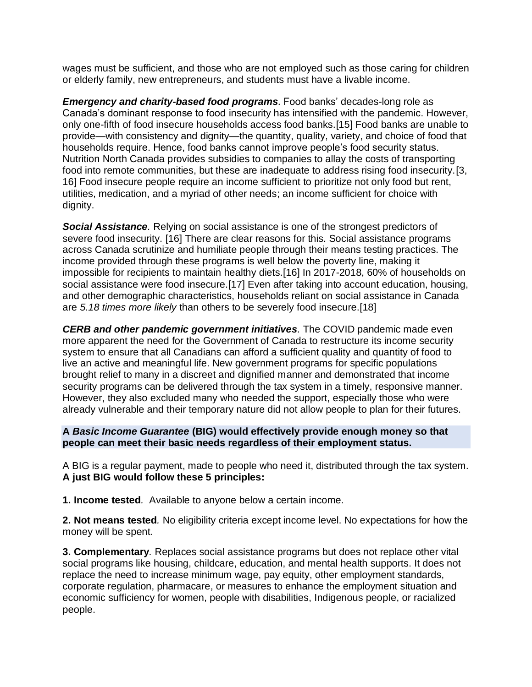wages must be sufficient, and those who are not employed such as those caring for children or elderly family, new entrepreneurs, and students must have a livable income.

*Emergency and charity-based food programs.* Food banks' decades-long role as Canada's dominant response to food insecurity has intensified with the pandemic. However, only one-fifth of food insecure households access food banks.[15] Food banks are unable to provide—with consistency and dignity—the quantity, quality, variety, and choice of food that households require. Hence, food banks cannot improve people's food security status. Nutrition North Canada provides subsidies to companies to allay the costs of transporting food into remote communities, but these are inadequate to address rising food insecurity.[3, 16] Food insecure people require an income sufficient to prioritize not only food but rent, utilities, medication, and a myriad of other needs; an income sufficient for choice with dignity.

*Social Assistance.* Relying on social assistance is one of the strongest predictors of severe food insecurity. [16] There are clear reasons for this. Social assistance programs across Canada scrutinize and humiliate people through their means testing practices. The income provided through these programs is well below the poverty line, making it impossible for recipients to maintain healthy diets.[16] In 2017-2018, 60% of households on social assistance were food insecure.[17] Even after taking into account education, housing, and other demographic characteristics, households reliant on social assistance in Canada are *5.18 times more likely* than others to be severely food insecure.[18]

*CERB and other pandemic government initiatives.* The COVID pandemic made even more apparent the need for the Government of Canada to restructure its income security system to ensure that all Canadians can afford a sufficient quality and quantity of food to live an active and meaningful life. New government programs for specific populations brought relief to many in a discreet and dignified manner and demonstrated that income security programs can be delivered through the tax system in a timely, responsive manner. However, they also excluded many who needed the support, especially those who were already vulnerable and their temporary nature did not allow people to plan for their futures.

## **A** *Basic Income Guarantee* **(BIG) would effectively provide enough money so that people can meet their basic needs regardless of their employment status.**

A BIG is a regular payment, made to people who need it, distributed through the tax system. **A just BIG would follow these 5 principles:**

**1. Income tested***.* Available to anyone below a certain income.

**2. Not means tested***.* No eligibility criteria except income level. No expectations for how the money will be spent.

**3. Complementary***.* Replaces social assistance programs but does not replace other vital social programs like housing, childcare, education, and mental health supports. It does not replace the need to increase minimum wage, pay equity, other employment standards, corporate regulation, pharmacare, or measures to enhance the employment situation and economic sufficiency for women, people with disabilities, Indigenous people, or racialized people.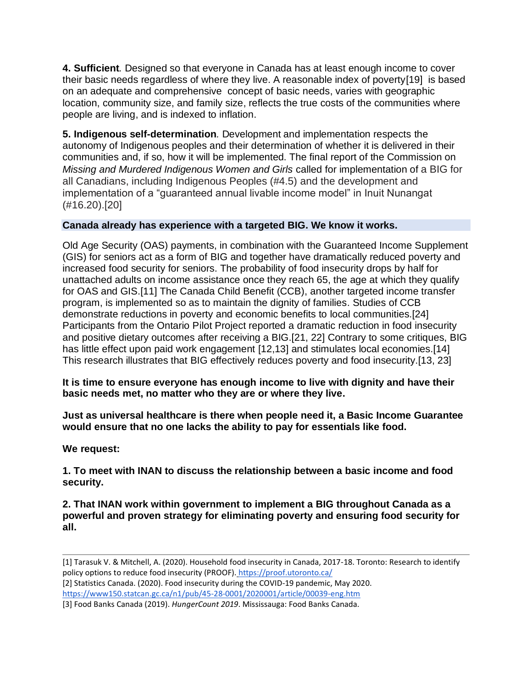**4. Sufficient***.* Designed so that everyone in Canada has at least enough income to cover their basic needs regardless of where they live. A reasonable index of poverty[19] is based on an adequate and comprehensive concept of basic needs, varies with geographic location, community size, and family size, reflects the true costs of the communities where people are living, and is indexed to inflation.

**5. Indigenous self-determination***.* Development and implementation respects the autonomy of Indigenous peoples and their determination of whether it is delivered in their communities and, if so, how it will be implemented. The final report of the Commission on *Missing and Murdered Indigenous Women and Girls* called for implementation of a BIG for all Canadians, including Indigenous Peoples (#4.5) and the development and implementation of a "guaranteed annual livable income model" in Inuit Nunangat (#16.20).[20]

## **Canada already has experience with a targeted BIG. We know it works.**

Old Age Security (OAS) payments, in combination with the Guaranteed Income Supplement (GIS) for seniors act as a form of BIG and together have dramatically reduced poverty and increased food security for seniors. The probability of food insecurity drops by half for unattached adults on income assistance once they reach 65, the age at which they qualify for OAS and GIS.[11] The Canada Child Benefit (CCB), another targeted income transfer program, is implemented so as to maintain the dignity of families. Studies of CCB demonstrate reductions in poverty and economic benefits to local communities.[24] Participants from the Ontario Pilot Project reported a dramatic reduction in food insecurity and positive dietary outcomes after receiving a BIG.[21, 22] Contrary to some critiques, BIG has little effect upon paid work engagement [12,13] and stimulates local economies.[14] This research illustrates that BIG effectively reduces poverty and food insecurity.[13, 23]

**It is time to ensure everyone has enough income to live with dignity and have their basic needs met, no matter who they are or where they live.** 

**Just as universal healthcare is there when people need it, a Basic Income Guarantee would ensure that no one lacks the ability to pay for essentials like food.**

**We request:**

**1. To meet with INAN to discuss the relationship between a basic income and food security.**

**2. That INAN work within government to implement a BIG throughout Canada as a powerful and proven strategy for eliminating poverty and ensuring food security for all.**

<https://www150.statcan.gc.ca/n1/pub/45-28-0001/2020001/article/00039-eng.htm>

<sup>[1]</sup> Tarasuk V. & Mitchell, A. (2020). Household food insecurity in Canada, 2017-18. Toronto: Research to identify policy options to reduce food insecurity (PROOF). <https://proof.utoronto.ca/>

<sup>[2]</sup> Statistics Canada. (2020). Food insecurity during the COVID-19 pandemic, May 2020[.](https://www150.statcan.gc.ca/n1/pub/45-28-0001/2020001/article/00039-eng.htm)

<sup>[3]</sup> Food Banks Canada (2019). *HungerCount 2019*. Mississauga: Food Banks Canada.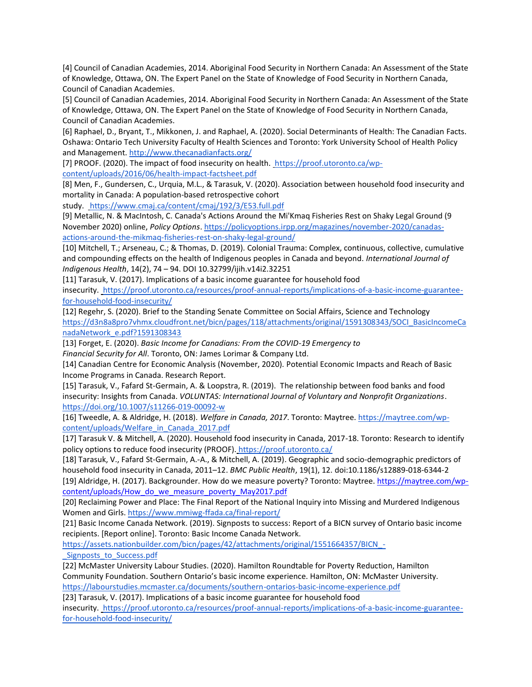[4] Council of Canadian Academies, 2014. Aboriginal Food Security in Northern Canada: An Assessment of the State of Knowledge, Ottawa, ON. The Expert Panel on the State of Knowledge of Food Security in Northern Canada, Council of Canadian Academies.

[5] Council of Canadian Academies, 2014. Aboriginal Food Security in Northern Canada: An Assessment of the State of Knowledge, Ottawa, ON. The Expert Panel on the State of Knowledge of Food Security in Northern Canada, Council of Canadian Academies.

[6] Raphael, D., Bryant, T., Mikkonen, J. and Raphael, A. (2020). Social Determinants of Health: The Canadian Facts. Oshawa: Ontario Tech University Faculty of Health Sciences and Toronto: York University School of Health Policy and Management.<http://www.thecanadianfacts.org/>

[7] PROOF. (2020). The impact of food insecurity on health. [https://proof.utoronto.ca/wp](https://proof.utoronto.ca/wp-content/uploads/2016/06/health-impact-factsheet.pdf)[content/uploads/2016/06/health-impact-factsheet.pdf](https://proof.utoronto.ca/wp-content/uploads/2016/06/health-impact-factsheet.pdf)

[8] Men, F., Gundersen, C., Urquia, M.L., & Tarasuk, V. (2020). Association between household food insecurity and mortality in Canada: A population-based retrospective cohort

study. <https://www.cmaj.ca/content/cmaj/192/3/E53.full.pdf>

[9] Metallic, N. & MacIntosh, C. Canada's Actions Around the Mi'Kmaq Fisheries Rest on Shaky Legal Ground (9 November 2020) online, *Policy Options*. [https://policyoptions.irpp.org/magazines/november-2020/canadas](https://policyoptions.irpp.org/magazines/november-2020/canadas-actions-around-the-mikmaq-fisheries-rest-on-shaky-legal-ground/)[actions-around-the-mikmaq-fisheries-rest-on-shaky-legal-ground/](https://policyoptions.irpp.org/magazines/november-2020/canadas-actions-around-the-mikmaq-fisheries-rest-on-shaky-legal-ground/)

[10] Mitchell, T.; Arseneau, C.; & Thomas, D. (2019). Colonial Trauma: Complex, continuous, collective, cumulative and compounding effects on the health of Indigenous peoples in Canada and beyond. *International Journal of Indigenous Health*, 14(2), 74 – 94. DOI 10.32799/ijih.v14i2.32251

[11] Tarasuk, V. (2017). Implications of a basic income guarantee for household food insecurity[. https://proof.utoronto.ca/resources/proof-annual-reports/implications-of-a-basic-income-guarantee](https://proof.utoronto.ca/resources/proof-annual-reports/implications-of-a-basic-income-guarantee-for-household-food-insecurity/)[for-household-food-insecurity/](https://proof.utoronto.ca/resources/proof-annual-reports/implications-of-a-basic-income-guarantee-for-household-food-insecurity/)

[12] Regehr, S. (2020). Brief to the Standing Senate Committee on Social Affairs, Science and Technolog[y](https://d3n8a8pro7vhmx.cloudfront.net/bicn/pages/118/attachments/original/1591308343/SOCI_BasicIncomeCanadaNetwork_e.pdf?1591308343) [https://d3n8a8pro7vhmx.cloudfront.net/bicn/pages/118/attachments/original/1591308343/SOCI\\_BasicIncomeCa](https://d3n8a8pro7vhmx.cloudfront.net/bicn/pages/118/attachments/original/1591308343/SOCI_BasicIncomeCanadaNetwork_e.pdf?1591308343) [nadaNetwork\\_e.pdf?1591308343](https://d3n8a8pro7vhmx.cloudfront.net/bicn/pages/118/attachments/original/1591308343/SOCI_BasicIncomeCanadaNetwork_e.pdf?1591308343)

[13] Forget, E. (2020). *Basic Income for Canadians: From the COVID-19 Emergency to*

*Financial Security for All*. Toronto, ON: James Lorimar & Company Ltd.

[14] Canadian Centre for Economic Analysis (November, 2020). Potential Economic Impacts and Reach of Basic Income Programs in Canada. Research Report.

[15] Tarasuk, V., Fafard St-Germain, A. & Loopstra, R. (2019). The relationship between food banks and food insecurity: Insights from Canada. *VOLUNTAS: International Journal of Voluntary and Nonprofit Organizations*[.](https://doi.org/10.1007/s11266-019-00092-w) <https://doi.org/10.1007/s11266-019-00092-w>

[16] Tweedle, A. & Aldridge, H. (2018). *Welfare in Canada, 2017*. Toronto: Maytree[. https://maytree.com/wp](https://maytree.com/wp-content/uploads/Welfare_in_Canada_2017.pdf)[content/uploads/Welfare\\_in\\_Canada\\_2017.pdf](https://maytree.com/wp-content/uploads/Welfare_in_Canada_2017.pdf)

[17] Tarasuk V. & Mitchell, A. (2020). Household food insecurity in Canada, 2017-18. Toronto: Research to identify policy options to reduce food insecurity (PROOF). <https://proof.utoronto.ca/>

[18] Tarasuk, V., Fafard St-Germain, A.-A., & Mitchell, A. (2019). Geographic and socio-demographic predictors of household food insecurity in Canada, 2011–12. *BMC Public Health*, 19(1), 12. doi:10.1186/s12889-018-6344-2

[19] Aldridge, H. (2017). Backgrounder. How do we measure poverty? Toronto: Maytree. [https://maytree.com/wp](https://maytree.com/wp-content/uploads/How_do_we_measure_poverty_May2017.pdf)[content/uploads/How\\_do\\_we\\_measure\\_poverty\\_May2017.pdf](https://maytree.com/wp-content/uploads/How_do_we_measure_poverty_May2017.pdf)

[20] Reclaiming Power and Place: The Final Report of the National Inquiry into Missing and Murdered Indigenous Women and Girls[. https://www.mmiwg-ffada.ca/final-report/](https://www.mmiwg-ffada.ca/final-report/)

[21] Basic Income Canada Network. (2019). Signposts to success: Report of a BICN survey of Ontario basic income recipients. [Report online]. Toronto: Basic Income Canada Network[.](https://assets.nationbuilder.com/bicn/pages/42/attachments/original/1551664357/BICN_-_Signposts_to_Success.pdf)

https://assets.nationbuilder.com/bicn/pages/42/attachments/original/1551664357/BICN -Signposts to Success.pdf

[22] McMaster University Labour Studies. (2020). Hamilton Roundtable for Poverty Reduction, Hamilton Community Foundation. Southern Ontario's basic income experience. Hamilton, ON: McMaster University[.](https://labourstudies.mcmaster.ca/documents/southern-ontarios-basic-income-experience.pdf) <https://labourstudies.mcmaster.ca/documents/southern-ontarios-basic-income-experience.pdf>

[23] Tarasuk, V. (2017). Implications of a basic income guarantee for household food

insecurity[. https://proof.utoronto.ca/resources/proof-annual-reports/implications-of-a-basic-income-guarantee](https://proof.utoronto.ca/resources/proof-annual-reports/implications-of-a-basic-income-guarantee-for-household-food-insecurity/)[for-household-food-insecurity/](https://proof.utoronto.ca/resources/proof-annual-reports/implications-of-a-basic-income-guarantee-for-household-food-insecurity/)